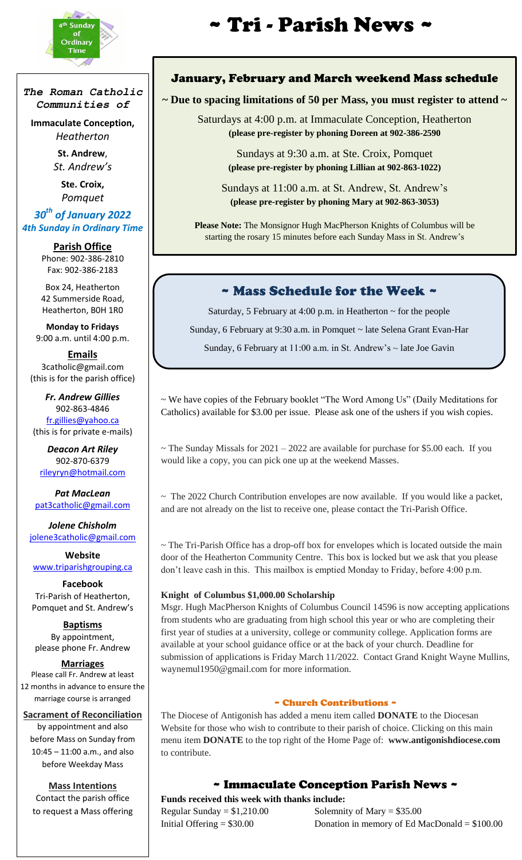

i<br>I

*The Roman Catholic Communities of*

**Immaculate Conception,** *Heatherton*

> **St. Andrew**, *St. Andrew's*

**Ste. Croix,** *Pomquet*

## *30th of January 2022 4th Sunday in Ordinary Time*

**Parish Office** Phone: 902-386-2810 Fax: 902-386-2183

Box 24, Heatherton 42 Summerside Road, Heatherton, B0H 1R0

**Monday to Fridays** 9:00 a.m. until 4:00 p.m.

**Emails** 3catholic@gmail.com (this is for the parish office)

*Fr. Andrew Gillies* 902-863-4846 [fr.gillies@yahoo.ca](mailto:fr.gillies@yahoo.ca) (this is for private e-mails)

*Deacon Art Riley* 902-870-6379 [rileyryn@hotmail.com](mailto:rileyryn@hotmail.com)

*Pat MacLean* [pat3catholic@gmail.com](mailto:rileyryn@hotmail.com)

*Jolene Chisholm* [jolene3catholic@gmail.com](mailto:jolene3catholic@gmail.com)

**Website** [www.triparishgrouping.ca](http://www.triparishgrouping.ca/)

**Facebook** Tri-Parish of Heatherton, Pomquet and St. Andrew's

**Baptisms** By appointment, please phone Fr. Andrew

#### **Marriages**

Please call Fr. Andrew at least 12 months in advance to ensure the marriage course is arranged

**Sacrament of Reconciliation** by appointment and also before Mass on Sunday from

10:45 – 11:00 a.m., and also before Weekday Mass

**Mass Intentions** Contact the parish office to request a Mass offering

# **\*** *sunday* **\*\* \*\* \*\* \*\* \*\* \*\* \*\* 7ri \* Parish News** \*

#### January, February and March weekend Mass schedule

# **~ Due to spacing limitations of 50 per Mass, you must register to attend ~**

Saturdays at 4:00 p.m. at Immaculate Conception, Heatherton **(please pre-register by phoning Doreen at 902-386-2590**

> Sundays at 9:30 a.m. at Ste. Croix, Pomquet **(please pre-register by phoning Lillian at 902-863-1022)**

Sundays at 11:00 a.m. at St. Andrew, St. Andrew's **(please pre-register by phoning Mary at 902-863-3053)**

**Please Note:** The Monsignor Hugh MacPherson Knights of Columbus will be starting the rosary 15 minutes before each Sunday Mass in St. Andrew's

# ~ Mass Schedule for the Week ~

Saturday, 5 February at 4:00 p.m. in Heatherton  $\sim$  for the people

Sunday, 6 February at 9:30 a.m. in Pomquet ~ late Selena Grant Evan-Har

Sunday, 6 February at 11:00 a.m. in St. Andrew's ~ late Joe Gavin

~ We have copies of the February booklet "The Word Among Us" (Daily Meditations for Catholics) available for \$3.00 per issue. Please ask one of the ushers if you wish copies.

 $\sim$  The Sunday Missals for 2021 – 2022 are available for purchase for \$5.00 each. If you would like a copy, you can pick one up at the weekend Masses.

 $\sim$  The 2022 Church Contribution envelopes are now available. If you would like a packet, and are not already on the list to receive one, please contact the Tri-Parish Office.

~ The Tri-Parish Office has a drop-off box for envelopes which is located outside the main door of the Heatherton Community Centre. This box is locked but we ask that you please don't leave cash in this. This mailbox is emptied Monday to Friday, before 4:00 p.m.

#### **Knight of Columbus \$1,000.00 Scholarship**

Msgr. Hugh MacPherson Knights of Columbus Council 14596 is now accepting applications from students who are graduating from high school this year or who are completing their first year of studies at a university, college or community college. Application forms are available at your school guidance office or at the back of your church. Deadline for submission of applications is Friday March 11/2022. Contact Grand Knight Wayne Mullins, waynemul1950@gmail.com for more information.

#### ~ Church Contributions ~

The Diocese of Antigonish has added a menu item called **DONATE** to the Diocesan Website for those who wish to contribute to their parish of choice. Clicking on this main menu item **DONATE** to the top right of the Home Page of: **www.antigonishdiocese.com**  to contribute.

## ~ Immaculate Conception Parish News ~

**Funds received this week with thanks include:** Regular Sunday =  $$1,210.00$  Solemnity of Mary =  $$35.00$ 

Initial Offering = \$30.00 Donation in memory of Ed MacDonald = \$100.00